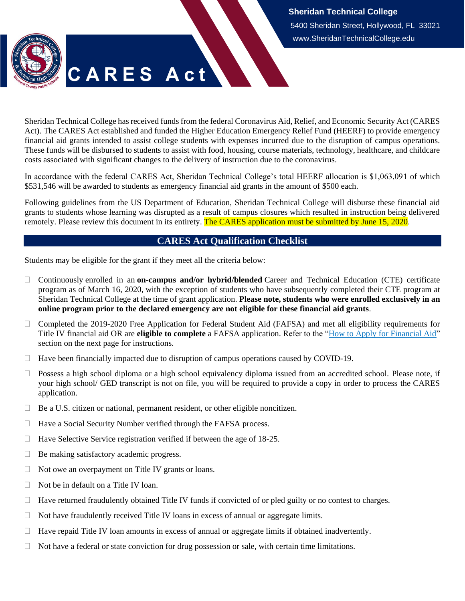**Sheridan Technical College** 5400 Sheridan Street, Hollywood, FL 33021 www.SheridanTechnicalCollege.edu



Sheridan Technical College has received funds from the federal Coronavirus Aid, Relief, and Economic Security Act (CARES Act). The CARES Act established and funded the Higher Education Emergency Relief Fund (HEERF) to provide emergency financial aid grants intended to assist college students with expenses incurred due to the disruption of campus operations. These funds will be disbursed to students to assist with food, housing, course materials, technology, healthcare, and childcare costs associated with significant changes to the delivery of instruction due to the coronavirus.

In accordance with the federal CARES Act, Sheridan Technical College's total HEERF allocation is \$1,063,091 of which \$531,546 will be awarded to students as emergency financial aid grants in the amount of \$500 each.

Following guidelines from the US Department of Education, Sheridan Technical College will disburse these financial aid grants to students whose learning was disrupted as a result of campus closures which resulted in instruction being delivered remotely. Please review this document in its entirety. The CARES application must be submitted by June 15, 2020.

## **CARES Act Qualification Checklist**

<span id="page-0-0"></span>Students may be eligible for the grant if they meet all the criteria below:

- Continuously enrolled in an **on-campus and/or hybrid/blended** Career and Technical Education (CTE) certificate program as of March 16, 2020, with the exception of students who have subsequently completed their CTE program at Sheridan Technical College at the time of grant application. **Please note, students who were enrolled exclusively in an online program prior to the declared emergency are not eligible for these financial aid grants**.
- $\Box$  Completed the 2019-2020 Free Application for Federal Student Aid (FAFSA) and met all eligibility requirements for Title IV financial aid OR are **eligible to complete** a FAFSA application. Refer to the ["How to Apply for Financial Aid"](#page-1-0) section on the next page for instructions.
- $\Box$  Have been financially impacted due to disruption of campus operations caused by COVID-19.
- $\Box$  Possess a high school diploma or a high school equivalency diploma issued from an accredited school. Please note, if your high school/ GED transcript is not on file, you will be required to provide a copy in order to process the CARES application.
- $\Box$  Be a U.S. citizen or national, permanent resident, or other eligible noncitizen.
- $\Box$  Have a Social Security Number verified through the FAFSA process.
- $\Box$  Have Selective Service registration verified if between the age of 18-25.
- $\Box$  Be making satisfactory academic progress.
- $\Box$  Not owe an overpayment on Title IV grants or loans.
- $\Box$  Not be in default on a Title IV loan.
- $\Box$  Have returned fraudulently obtained Title IV funds if convicted of or pled guilty or no contest to charges.
- $\Box$  Not have fraudulently received Title IV loans in excess of annual or aggregate limits.
- $\Box$  Have repaid Title IV loan amounts in excess of annual or aggregate limits if obtained inadvertently.
- $\Box$  Not have a federal or state conviction for drug possession or sale, with certain time limitations.